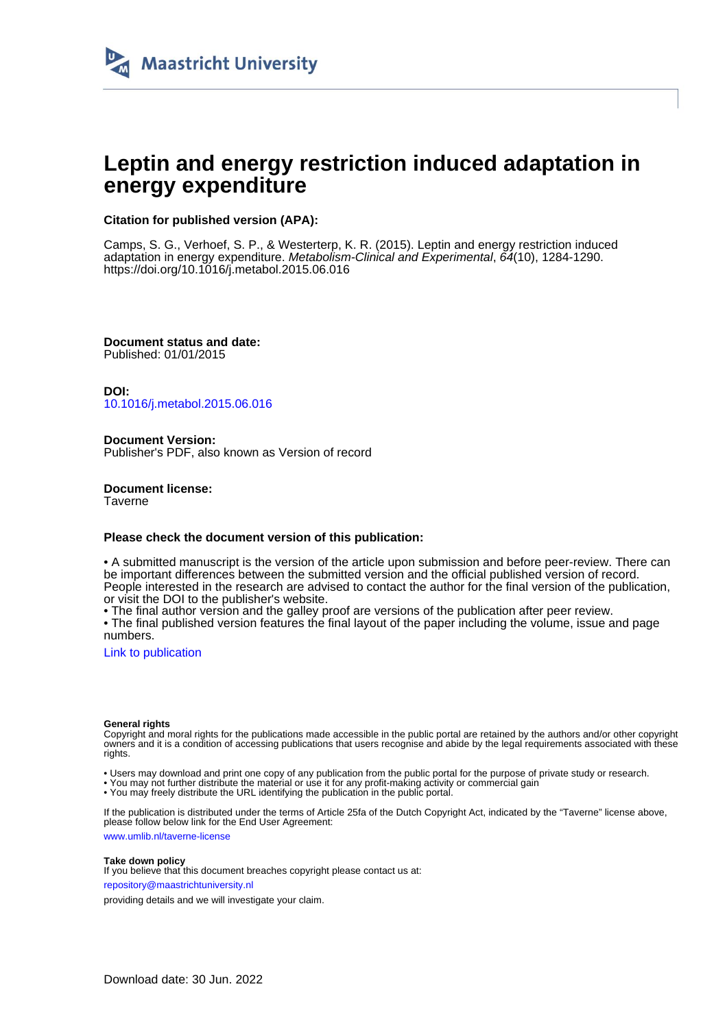

# **Leptin and energy restriction induced adaptation in energy expenditure**

### **Citation for published version (APA):**

Camps, S. G., Verhoef, S. P., & Westerterp, K. R. (2015). Leptin and energy restriction induced adaptation in energy expenditure. Metabolism-Clinical and Experimental, 64(10), 1284-1290. <https://doi.org/10.1016/j.metabol.2015.06.016>

**Document status and date:** Published: 01/01/2015

**DOI:** [10.1016/j.metabol.2015.06.016](https://doi.org/10.1016/j.metabol.2015.06.016)

**Document Version:** Publisher's PDF, also known as Version of record

**Document license: Taverne** 

#### **Please check the document version of this publication:**

• A submitted manuscript is the version of the article upon submission and before peer-review. There can be important differences between the submitted version and the official published version of record. People interested in the research are advised to contact the author for the final version of the publication, or visit the DOI to the publisher's website.

• The final author version and the galley proof are versions of the publication after peer review.

• The final published version features the final layout of the paper including the volume, issue and page numbers.

[Link to publication](https://cris.maastrichtuniversity.nl/en/publications/f619f011-40d3-4c6c-8346-240c5b010f74)

#### **General rights**

Copyright and moral rights for the publications made accessible in the public portal are retained by the authors and/or other copyright owners and it is a condition of accessing publications that users recognise and abide by the legal requirements associated with these rights.

• Users may download and print one copy of any publication from the public portal for the purpose of private study or research.

• You may not further distribute the material or use it for any profit-making activity or commercial gain

• You may freely distribute the URL identifying the publication in the public portal.

If the publication is distributed under the terms of Article 25fa of the Dutch Copyright Act, indicated by the "Taverne" license above, please follow below link for the End User Agreement:

www.umlib.nl/taverne-license

#### **Take down policy**

If you believe that this document breaches copyright please contact us at: repository@maastrichtuniversity.nl

providing details and we will investigate your claim.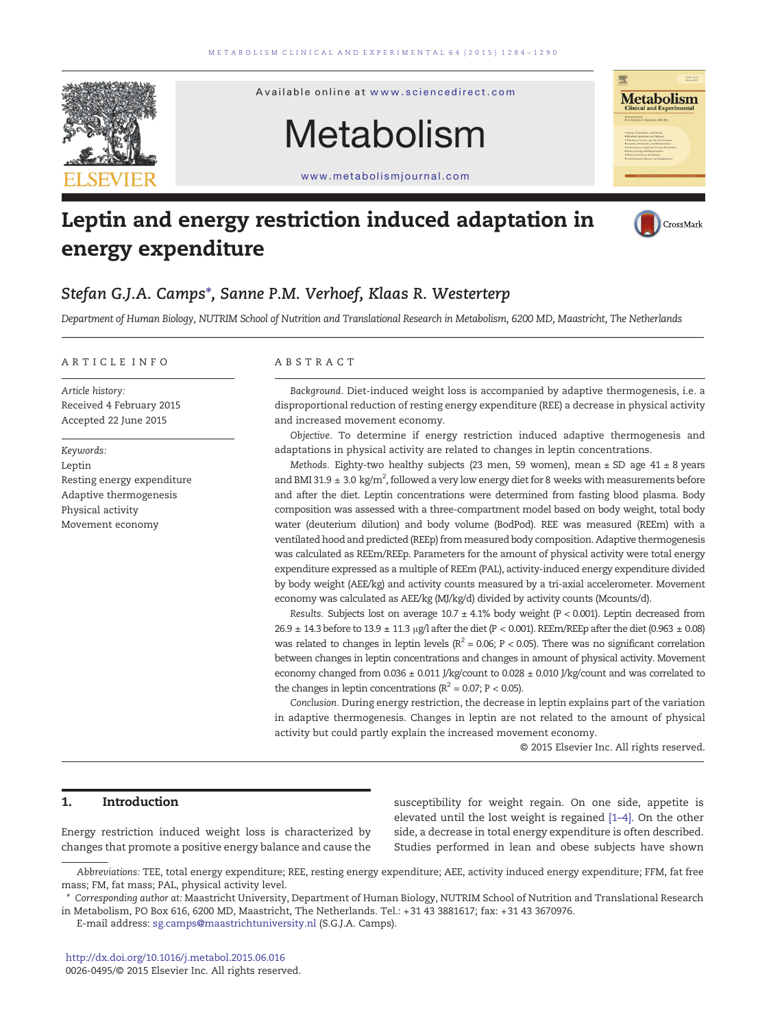

# Leptin and energy restriction induced adaptation in energy expenditure



## Stefan G.J.A. Camps⁎, Sanne P.M. Verhoef, Klaas R. Westerterp

Department of Human Biology, NUTRIM School of Nutrition and Translational Research in Metabolism, 6200 MD, Maastricht, The Netherlands

#### ARTICLE INFO ABSTRACT

Article history: Received 4 February 2015 Accepted 22 June 2015

Keywords: Leptin Resting energy expenditure Adaptive thermogenesis Physical activity Movement economy

Background. Diet-induced weight loss is accompanied by adaptive thermogenesis, i.e. a disproportional reduction of resting energy expenditure (REE) a decrease in physical activity and increased movement economy.

Objective. To determine if energy restriction induced adaptive thermogenesis and adaptations in physical activity are related to changes in leptin concentrations.

Methods. Eighty-two healthy subjects (23 men, 59 women), mean  $\pm$  SD age 41  $\pm$  8 years and BMI 31.9  $\pm$  3.0 kg/m $^2$ , followed a very low energy diet for 8 weeks with measurements before and after the diet. Leptin concentrations were determined from fasting blood plasma. Body composition was assessed with a three-compartment model based on body weight, total body water (deuterium dilution) and body volume (BodPod). REE was measured (REEm) with a ventilated hood and predicted (REEp) from measured body composition. Adaptive thermogenesis was calculated as REEm/REEp. Parameters for the amount of physical activity were total energy expenditure expressed as a multiple of REEm (PAL), activity-induced energy expenditure divided by body weight (AEE/kg) and activity counts measured by a tri-axial accelerometer. Movement economy was calculated as AEE/kg (MJ/kg/d) divided by activity counts (Mcounts/d).

Results. Subjects lost on average  $10.7 \pm 4.1\%$  body weight (P < 0.001). Leptin decreased from 26.9  $\pm$  14.3 before to 13.9  $\pm$  11.3 μg/l after the diet (P < 0.001). REEm/REEp after the diet (0.963  $\pm$  0.08) was related to changes in leptin levels ( $R^2$  = 0.06; P < 0.05). There was no significant correlation between changes in leptin concentrations and changes in amount of physical activity. Movement economy changed from  $0.036 \pm 0.011$  J/kg/count to  $0.028 \pm 0.010$  J/kg/count and was correlated to the changes in leptin concentrations ( $R^2$  = 0.07; P < 0.05).

Conclusion. During energy restriction, the decrease in leptin explains part of the variation in adaptive thermogenesis. Changes in leptin are not related to the amount of physical activity but could partly explain the increased movement economy.

© 2015 Elsevier Inc. All rights reserved.

### 1. Introduction

Energy restriction induced weight loss is characterized by changes that promote a positive energy balance and cause the

susceptibility for weight regain. On one side, appetite is elevated until the lost weight is regained [1–[4\].](#page-6-0) On the other side, a decrease in total energy expenditure is often described. Studies performed in lean and obese subjects have shown

Abbreviations: TEE, total energy expenditure; REE, resting energy expenditure; AEE, activity induced energy expenditure; FFM, fat free mass; FM, fat mass; PAL, physical activity level.

<sup>⁎</sup> Corresponding author at: Maastricht University, Department of Human Biology, NUTRIM School of Nutrition and Translational Research in Metabolism, PO Box 616, 6200 MD, Maastricht, The Netherlands. Tel.: +31 43 3881617; fax: +31 43 3670976.

E-mail address: [sg.camps@maastrichtuniversity.nl](mailto:sg.camps@maastrichtuniversity.nl) (S.G.J.A. Camps).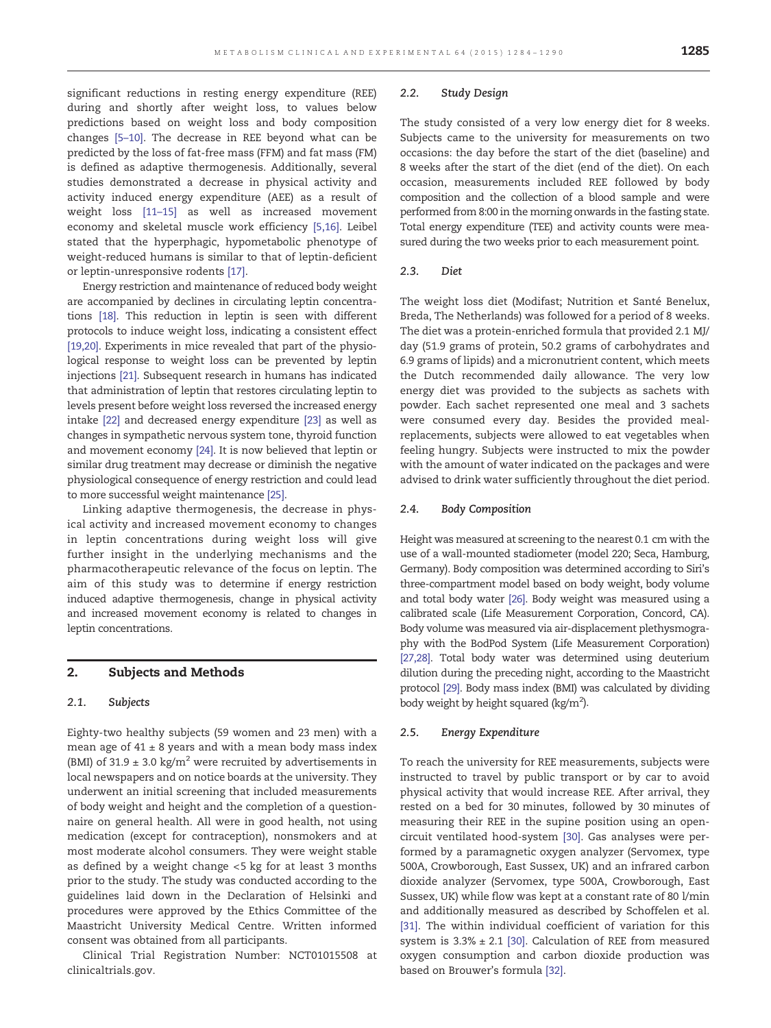2.2. Study Design

The study consisted of a very low energy diet for 8 weeks. Subjects came to the university for measurements on two occasions: the day before the start of the diet (baseline) and 8 weeks after the start of the diet (end of the diet). On each occasion, measurements included REE followed by body composition and the collection of a blood sample and were performed from 8:00 in the morning onwards in the fasting state. Total energy expenditure (TEE) and activity counts were measured during the two weeks prior to each measurement point.

#### 2.3. Diet

The weight loss diet (Modifast; Nutrition et Santé Benelux, Breda, The Netherlands) was followed for a period of 8 weeks. The diet was a protein-enriched formula that provided 2.1 MJ/ day (51.9 grams of protein, 50.2 grams of carbohydrates and 6.9 grams of lipids) and a micronutrient content, which meets the Dutch recommended daily allowance. The very low energy diet was provided to the subjects as sachets with powder. Each sachet represented one meal and 3 sachets were consumed every day. Besides the provided mealreplacements, subjects were allowed to eat vegetables when feeling hungry. Subjects were instructed to mix the powder with the amount of water indicated on the packages and were advised to drink water sufficiently throughout the diet period.

#### 2.4. Body Composition

Height was measured at screening to the nearest 0.1 cm with the use of a wall-mounted stadiometer (model 220; Seca, Hamburg, Germany). Body composition was determined according to Siri's three-compartment model based on body weight, body volume and total body water [\[26\].](#page-6-0) Body weight was measured using a calibrated scale (Life Measurement Corporation, Concord, CA). Body volume was measured via air-displacement plethysmography with the BodPod System (Life Measurement Corporation) [\[27,28\].](#page-6-0) Total body water was determined using deuterium dilution during the preceding night, according to the Maastricht protocol [\[29\]](#page-6-0). Body mass index (BMI) was calculated by dividing body weight by height squared (kg/m<sup>2</sup>).

#### 2.5. Energy Expenditure

To reach the university for REE measurements, subjects were instructed to travel by public transport or by car to avoid physical activity that would increase REE. After arrival, they rested on a bed for 30 minutes, followed by 30 minutes of measuring their REE in the supine position using an opencircuit ventilated hood-system [\[30\]](#page-6-0). Gas analyses were performed by a paramagnetic oxygen analyzer (Servomex, type 500A, Crowborough, East Sussex, UK) and an infrared carbon dioxide analyzer (Servomex, type 500A, Crowborough, East Sussex, UK) while flow was kept at a constant rate of 80 l/min and additionally measured as described by Schoffelen et al. [\[31\]](#page-6-0). The within individual coefficient of variation for this system is  $3.3\% \pm 2.1$  [\[30\].](#page-6-0) Calculation of REE from measured oxygen consumption and carbon dioxide production was based on Brouwer's formula [\[32\].](#page-6-0)

significant reductions in resting energy expenditure (REE) during and shortly after weight loss, to values below predictions based on weight loss and body composition changes [5–[10\]](#page-6-0). The decrease in REE beyond what can be predicted by the loss of fat-free mass (FFM) and fat mass (FM) is defined as adaptive thermogenesis. Additionally, several studies demonstrated a decrease in physical activity and activity induced energy expenditure (AEE) as a result of weight loss [\[11](#page-6-0)–15] as well as increased movement economy and skeletal muscle work efficiency [\[5,16\]](#page-6-0). Leibel stated that the hyperphagic, hypometabolic phenotype of weight-reduced humans is similar to that of leptin-deficient or leptin-unresponsive rodents [\[17\].](#page-6-0)

Energy restriction and maintenance of reduced body weight are accompanied by declines in circulating leptin concentrations [\[18\].](#page-6-0) This reduction in leptin is seen with different protocols to induce weight loss, indicating a consistent effect [\[19,20\].](#page-6-0) Experiments in mice revealed that part of the physiological response to weight loss can be prevented by leptin injections [\[21\]](#page-6-0). Subsequent research in humans has indicated that administration of leptin that restores circulating leptin to levels present before weight loss reversed the increased energy intake [\[22\]](#page-6-0) and decreased energy expenditure [\[23\]](#page-6-0) as well as changes in sympathetic nervous system tone, thyroid function and movement economy [\[24\]](#page-6-0). It is now believed that leptin or similar drug treatment may decrease or diminish the negative physiological consequence of energy restriction and could lead to more successful weight maintenance [\[25\]](#page-6-0).

Linking adaptive thermogenesis, the decrease in physical activity and increased movement economy to changes in leptin concentrations during weight loss will give further insight in the underlying mechanisms and the pharmacotherapeutic relevance of the focus on leptin. The aim of this study was to determine if energy restriction induced adaptive thermogenesis, change in physical activity and increased movement economy is related to changes in leptin concentrations.

#### 2. Subjects and Methods

#### 2.1. Subjects

Eighty-two healthy subjects (59 women and 23 men) with a mean age of  $41 \pm 8$  years and with a mean body mass index (BMI) of 31.9  $\pm$  3.0 kg/m<sup>2</sup> were recruited by advertisements in local newspapers and on notice boards at the university. They underwent an initial screening that included measurements of body weight and height and the completion of a questionnaire on general health. All were in good health, not using medication (except for contraception), nonsmokers and at most moderate alcohol consumers. They were weight stable as defined by a weight change <5 kg for at least 3 months prior to the study. The study was conducted according to the guidelines laid down in the Declaration of Helsinki and procedures were approved by the Ethics Committee of the Maastricht University Medical Centre. Written informed consent was obtained from all participants.

Clinical Trial Registration Number: NCT01015508 at clinicaltrials.gov.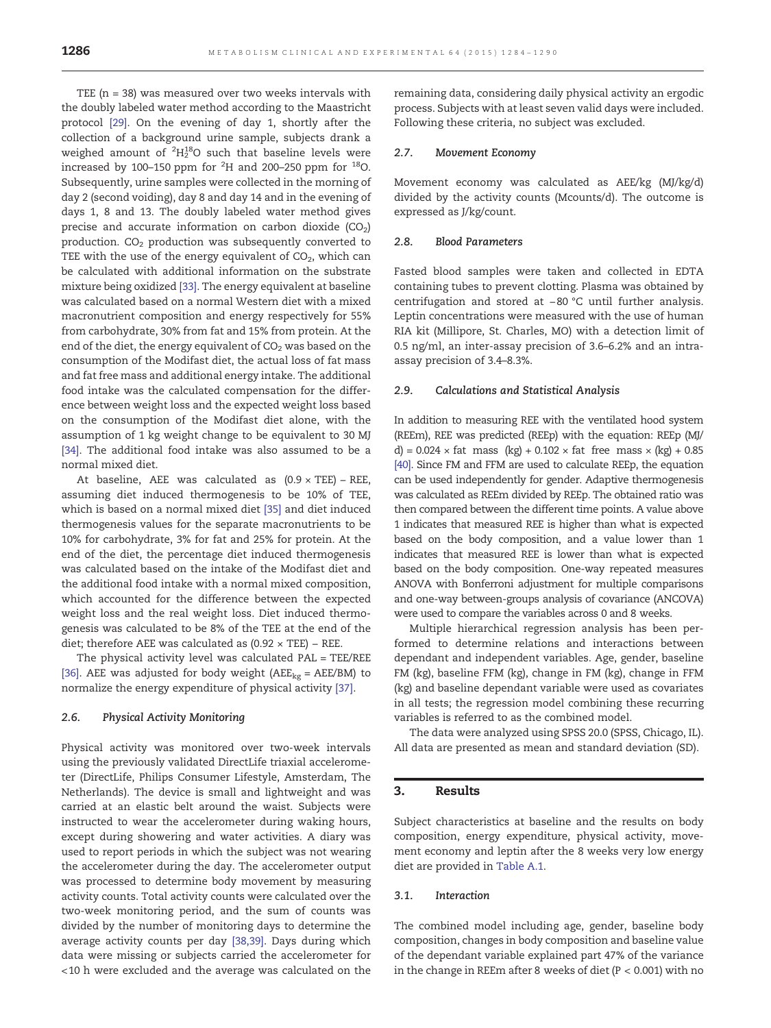TEE ( $n = 38$ ) was measured over two weeks intervals with the doubly labeled water method according to the Maastricht protocol [\[29\].](#page-6-0) On the evening of day 1, shortly after the collection of a background urine sample, subjects drank a weighed amount of  $^{2}{\rm H}_{2}^{18}$ O such that baseline levels were increased by 100–150 ppm for  $^2\mathrm{H}$  and 200–250 ppm for  $^{18}$ O. Subsequently, urine samples were collected in the morning of day 2 (second voiding), day 8 and day 14 and in the evening of days 1, 8 and 13. The doubly labeled water method gives precise and accurate information on carbon dioxide  $(CO<sub>2</sub>)$ production.  $CO<sub>2</sub>$  production was subsequently converted to TEE with the use of the energy equivalent of  $CO<sub>2</sub>$ , which can be calculated with additional information on the substrate mixture being oxidized [\[33\].](#page-6-0) The energy equivalent at baseline was calculated based on a normal Western diet with a mixed macronutrient composition and energy respectively for 55% from carbohydrate, 30% from fat and 15% from protein. At the end of the diet, the energy equivalent of  $CO<sub>2</sub>$  was based on the consumption of the Modifast diet, the actual loss of fat mass and fat free mass and additional energy intake. The additional food intake was the calculated compensation for the difference between weight loss and the expected weight loss based on the consumption of the Modifast diet alone, with the assumption of 1 kg weight change to be equivalent to 30 MJ [\[34\]](#page-6-0). The additional food intake was also assumed to be a normal mixed diet.

At baseline, AEE was calculated as  $(0.9 \times TEE)$  – REE, assuming diet induced thermogenesis to be 10% of TEE, which is based on a normal mixed diet [\[35\]](#page-6-0) and diet induced thermogenesis values for the separate macronutrients to be 10% for carbohydrate, 3% for fat and 25% for protein. At the end of the diet, the percentage diet induced thermogenesis was calculated based on the intake of the Modifast diet and the additional food intake with a normal mixed composition, which accounted for the difference between the expected weight loss and the real weight loss. Diet induced thermogenesis was calculated to be 8% of the TEE at the end of the diet; therefore AEE was calculated as  $(0.92 \times TEE)$  – REE.

The physical activity level was calculated PAL = TEE/REE [\[36\]](#page-6-0). AEE was adjusted for body weight ( $AEE_{kg} = AEE/BM$ ) to normalize the energy expenditure of physical activity [\[37\]](#page-6-0).

#### 2.6. Physical Activity Monitoring

Physical activity was monitored over two-week intervals using the previously validated DirectLife triaxial accelerometer (DirectLife, Philips Consumer Lifestyle, Amsterdam, The Netherlands). The device is small and lightweight and was carried at an elastic belt around the waist. Subjects were instructed to wear the accelerometer during waking hours, except during showering and water activities. A diary was used to report periods in which the subject was not wearing the accelerometer during the day. The accelerometer output was processed to determine body movement by measuring activity counts. Total activity counts were calculated over the two-week monitoring period, and the sum of counts was divided by the number of monitoring days to determine the average activity counts per day [\[38,39\]](#page-6-0). Days during which data were missing or subjects carried the accelerometer for <10 h were excluded and the average was calculated on the

remaining data, considering daily physical activity an ergodic process. Subjects with at least seven valid days were included. Following these criteria, no subject was excluded.

#### 2.7. Movement Economy

Movement economy was calculated as AEE/kg (MJ/kg/d) divided by the activity counts (Mcounts/d). The outcome is expressed as J/kg/count.

#### 2.8. Blood Parameters

Fasted blood samples were taken and collected in EDTA containing tubes to prevent clotting. Plasma was obtained by centrifugation and stored at −80 °C until further analysis. Leptin concentrations were measured with the use of human RIA kit (Millipore, St. Charles, MO) with a detection limit of 0.5 ng/ml, an inter-assay precision of 3.6–6.2% and an intraassay precision of 3.4–8.3%.

#### 2.9. Calculations and Statistical Analysis

In addition to measuring REE with the ventilated hood system (REEm), REE was predicted (REEp) with the equation: REEp (MJ/ d) =  $0.024 \times$  fat mass (kg) +  $0.102 \times$  fat free mass  $\times$  (kg) +  $0.85$ [\[40\].](#page-7-0) Since FM and FFM are used to calculate REEp, the equation can be used independently for gender. Adaptive thermogenesis was calculated as REEm divided by REEp. The obtained ratio was then compared between the different time points. A value above 1 indicates that measured REE is higher than what is expected based on the body composition, and a value lower than 1 indicates that measured REE is lower than what is expected based on the body composition. One-way repeated measures ANOVA with Bonferroni adjustment for multiple comparisons and one-way between-groups analysis of covariance (ANCOVA) were used to compare the variables across 0 and 8 weeks.

Multiple hierarchical regression analysis has been performed to determine relations and interactions between dependant and independent variables. Age, gender, baseline FM (kg), baseline FFM (kg), change in FM (kg), change in FFM (kg) and baseline dependant variable were used as covariates in all tests; the regression model combining these recurring variables is referred to as the combined model.

The data were analyzed using SPSS 20.0 (SPSS, Chicago, IL). All data are presented as mean and standard deviation (SD).

#### 3. Results

Subject characteristics at baseline and the results on body composition, energy expenditure, physical activity, movement economy and leptin after the 8 weeks very low energy diet are provided in [Table A.1.](#page-5-0)

#### 3.1. Interaction

The combined model including age, gender, baseline body composition, changes in body composition and baseline value of the dependant variable explained part 47% of the variance in the change in REEm after 8 weeks of diet ( $P < 0.001$ ) with no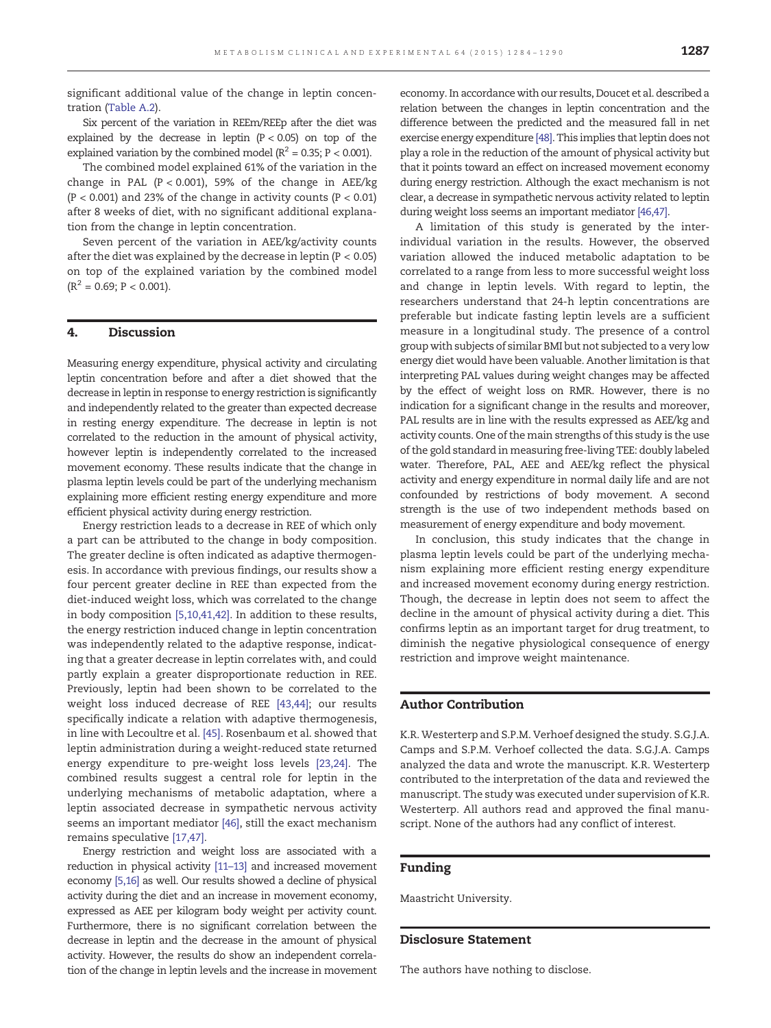significant additional value of the change in leptin concentration [\(Table A.2](#page-5-0)).

Six percent of the variation in REEm/REEp after the diet was explained by the decrease in leptin  $(P < 0.05)$  on top of the explained variation by the combined model ( $R^2$  = 0.35; P < 0.001).

The combined model explained 61% of the variation in the change in PAL  $(P < 0.001)$ , 59% of the change in AEE/kg  $(P < 0.001)$  and 23% of the change in activity counts  $(P < 0.01)$ after 8 weeks of diet, with no significant additional explanation from the change in leptin concentration.

Seven percent of the variation in AEE/kg/activity counts after the diet was explained by the decrease in leptin (P < 0.05) on top of the explained variation by the combined model  $(R<sup>2</sup> = 0.69; P < 0.001).$ 

#### 4. Discussion

Measuring energy expenditure, physical activity and circulating leptin concentration before and after a diet showed that the decrease in leptin in response to energy restriction is significantly and independently related to the greater than expected decrease in resting energy expenditure. The decrease in leptin is not correlated to the reduction in the amount of physical activity, however leptin is independently correlated to the increased movement economy. These results indicate that the change in plasma leptin levels could be part of the underlying mechanism explaining more efficient resting energy expenditure and more efficient physical activity during energy restriction.

Energy restriction leads to a decrease in REE of which only a part can be attributed to the change in body composition. The greater decline is often indicated as adaptive thermogenesis. In accordance with previous findings, our results show a four percent greater decline in REE than expected from the diet-induced weight loss, which was correlated to the change in body composition [\[5,10,41,42\]](#page-6-0). In addition to these results, the energy restriction induced change in leptin concentration was independently related to the adaptive response, indicating that a greater decrease in leptin correlates with, and could partly explain a greater disproportionate reduction in REE. Previously, leptin had been shown to be correlated to the weight loss induced decrease of REE [\[43,44\];](#page-7-0) our results specifically indicate a relation with adaptive thermogenesis, in line with Lecoultre et al. [\[45\].](#page-7-0) Rosenbaum et al. showed that leptin administration during a weight-reduced state returned energy expenditure to pre-weight loss levels [\[23,24\]](#page-6-0). The combined results suggest a central role for leptin in the underlying mechanisms of metabolic adaptation, where a leptin associated decrease in sympathetic nervous activity seems an important mediator [\[46\],](#page-7-0) still the exact mechanism remains speculative [\[17,47\]](#page-6-0).

Energy restriction and weight loss are associated with a reduction in physical activity [\[11](#page-6-0)–13] and increased movement economy [\[5,16\]](#page-6-0) as well. Our results showed a decline of physical activity during the diet and an increase in movement economy, expressed as AEE per kilogram body weight per activity count. Furthermore, there is no significant correlation between the decrease in leptin and the decrease in the amount of physical activity. However, the results do show an independent correlation of the change in leptin levels and the increase in movement economy. In accordance with our results, Doucet et al. described a relation between the changes in leptin concentration and the difference between the predicted and the measured fall in net exercise energy expenditure [\[48\]](#page-7-0). This implies that leptin does not play a role in the reduction of the amount of physical activity but that it points toward an effect on increased movement economy during energy restriction. Although the exact mechanism is not clear, a decrease in sympathetic nervous activity related to leptin during weight loss seems an important mediator [\[46,47\]](#page-7-0).

A limitation of this study is generated by the interindividual variation in the results. However, the observed variation allowed the induced metabolic adaptation to be correlated to a range from less to more successful weight loss and change in leptin levels. With regard to leptin, the researchers understand that 24-h leptin concentrations are preferable but indicate fasting leptin levels are a sufficient measure in a longitudinal study. The presence of a control group with subjects of similar BMI but not subjected to a very low energy diet would have been valuable. Another limitation is that interpreting PAL values during weight changes may be affected by the effect of weight loss on RMR. However, there is no indication for a significant change in the results and moreover, PAL results are in line with the results expressed as AEE/kg and activity counts. One of the main strengths of this study is the use of the gold standard in measuring free-living TEE: doubly labeled water. Therefore, PAL, AEE and AEE/kg reflect the physical activity and energy expenditure in normal daily life and are not confounded by restrictions of body movement. A second strength is the use of two independent methods based on measurement of energy expenditure and body movement.

In conclusion, this study indicates that the change in plasma leptin levels could be part of the underlying mechanism explaining more efficient resting energy expenditure and increased movement economy during energy restriction. Though, the decrease in leptin does not seem to affect the decline in the amount of physical activity during a diet. This confirms leptin as an important target for drug treatment, to diminish the negative physiological consequence of energy restriction and improve weight maintenance.

#### Author Contribution

K.R. Westerterp and S.P.M. Verhoef designed the study. S.G.J.A. Camps and S.P.M. Verhoef collected the data. S.G.J.A. Camps analyzed the data and wrote the manuscript. K.R. Westerterp contributed to the interpretation of the data and reviewed the manuscript. The study was executed under supervision of K.R. Westerterp. All authors read and approved the final manuscript. None of the authors had any conflict of interest.

#### Funding

Maastricht University.

#### Disclosure Statement

The authors have nothing to disclose.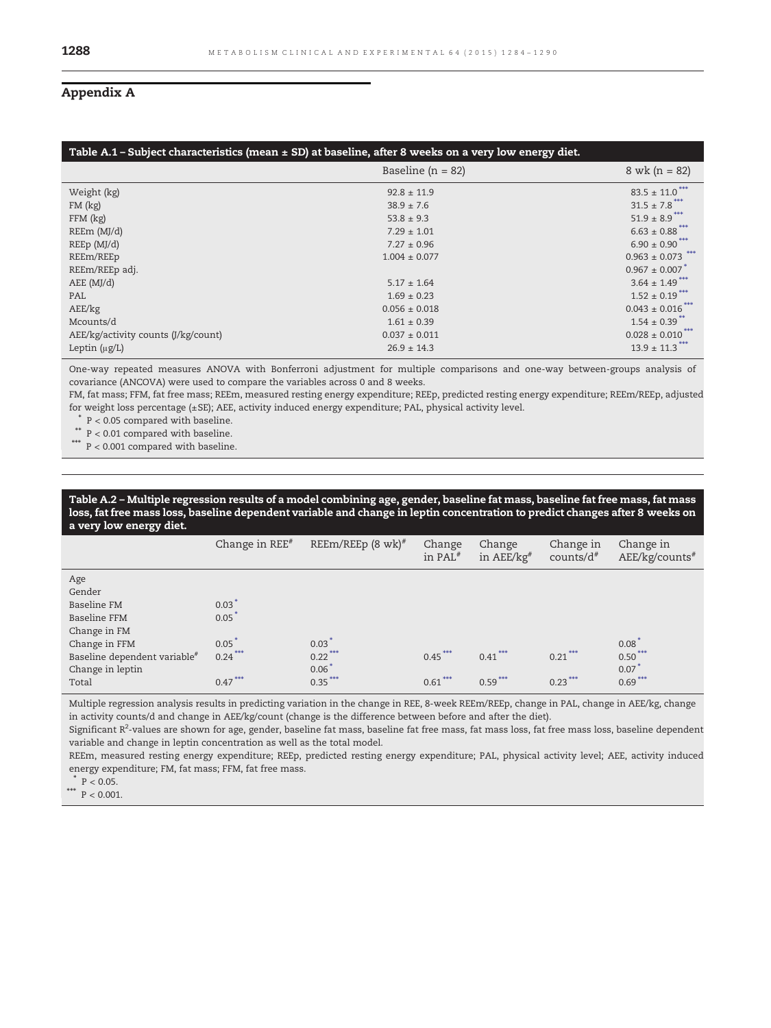### <span id="page-5-0"></span>Appendix A

| Table A.1 – Subject characteristics (mean $\pm$ SD) at baseline, after 8 weeks on a very low energy diet. |                       |                                |  |  |  |  |  |
|-----------------------------------------------------------------------------------------------------------|-----------------------|--------------------------------|--|--|--|--|--|
|                                                                                                           | Baseline ( $n = 82$ ) | $8$ wk (n = 82)                |  |  |  |  |  |
| Weight (kg)                                                                                               | $92.8 \pm 11.9$       | $83.5 \pm 11.0$ ***            |  |  |  |  |  |
| $FM$ (kg)                                                                                                 | $38.9 \pm 7.6$        | $31.5 \pm 7.8$ ***             |  |  |  |  |  |
| $FFM$ (kg)                                                                                                | $53.8 \pm 9.3$        | $51.9 \pm 8.9$ ***             |  |  |  |  |  |
| REEm (MJ/d)                                                                                               | $7.29 \pm 1.01$       | $6.63 \pm 0.88$ ***            |  |  |  |  |  |
| REEp(MJ/d)                                                                                                | $7.27 \pm 0.96$       | $6.90 \pm 0.90$ ***            |  |  |  |  |  |
| REEm/REEp                                                                                                 | $1.004 \pm 0.077$     | $0.963 \pm 0.073$ ***          |  |  |  |  |  |
| REEm/REEp adj.                                                                                            |                       | $0.967 \pm 0.007$ <sup>*</sup> |  |  |  |  |  |
| AEE (MJ/d)                                                                                                | $5.17 \pm 1.64$       | $3.64 \pm 1.49$ ***            |  |  |  |  |  |
| PAL                                                                                                       | $1.69 \pm 0.23$       | $1.52 \pm 0.19$ ***            |  |  |  |  |  |
| AEE/kg                                                                                                    | $0.056 \pm 0.018$     | $0.043 \pm 0.016$ ***          |  |  |  |  |  |
| Mcounts/d                                                                                                 | $1.61 \pm 0.39$       | $1.54 \pm 0.39$ <sup>**</sup>  |  |  |  |  |  |
| AEE/kg/activity counts (J/kg/count)                                                                       | $0.037 \pm 0.011$     | $0.028 \pm 0.010$              |  |  |  |  |  |
| Leptin $(\mu g/L)$                                                                                        | $26.9 \pm 14.3$       | $13.9 \pm 11.3$ ***            |  |  |  |  |  |

One-way repeated measures ANOVA with Bonferroni adjustment for multiple comparisons and one-way between-groups analysis of covariance (ANCOVA) were used to compare the variables across 0 and 8 weeks.

FM, fat mass; FFM, fat free mass; REEm, measured resting energy expenditure; REEp, predicted resting energy expenditure; REEm/REEp, adjusted for weight loss percentage (±SE); AEE, activity induced energy expenditure; PAL, physical activity level.

 $P < 0.05$  compared with baseline.

P < 0.01 compared with baseline.

⁎⁎⁎ P < 0.001 compared with baseline.

#### Table A.2 – Multiple regression results of a model combining age, gender, baseline fat mass, baseline fat free mass, fat mass loss, fat free mass loss, baseline dependent variable and change in leptin concentration to predict changes after 8 weeks on a very low energy diet.

|                                                                                                                                                               | Change in $REF^*$                                                            | REEm/REEp $(8 \text{ wk})^{\#}$                          | Change<br>in PAL <sup>#</sup> | Change<br>in $AEE/kg$ <sup>#</sup> | Change in<br>counts/ $d^*$ | Change in<br>AEE/kg/counts#                        |
|---------------------------------------------------------------------------------------------------------------------------------------------------------------|------------------------------------------------------------------------------|----------------------------------------------------------|-------------------------------|------------------------------------|----------------------------|----------------------------------------------------|
| Age<br>Gender<br>Baseline FM<br><b>Baseline FFM</b><br>Change in FM<br>Change in FFM<br>Baseline dependent variable <sup>#</sup><br>Change in leptin<br>Total | $0.03$ <sup>*</sup><br>$0.05$ <sup>*</sup><br>0.05<br>$0.24***$<br>$0.47***$ | $0.03$ <sup>*</sup><br>$0.22***$<br>$0.06*$<br>$0.35***$ | $0.45***$<br>$0.61***$        | $0.41***$<br>$0.59***$             | $0.21***$<br>$0.23***$     | $0.08^{\degree}$<br>$0.50***$<br>0.07<br>$0.69***$ |

Multiple regression analysis results in predicting variation in the change in REE, 8-week REEm/REEp, change in PAL, change in AEE/kg, change in activity counts/d and change in AEE/kg/count (change is the difference between before and after the diet).

Significant R<sup>2</sup>-values are shown for age, gender, baseline fat mass, baseline fat free mass, fat mass loss, fat free mass loss, baseline dependent variable and change in leptin concentration as well as the total model.

REEm, measured resting energy expenditure; REEp, predicted resting energy expenditure; PAL, physical activity level; AEE, activity induced energy expenditure; FM, fat mass; FFM, fat free mass.

 $P < 0.05$ .

\*\*\*  $P < 0.001$ .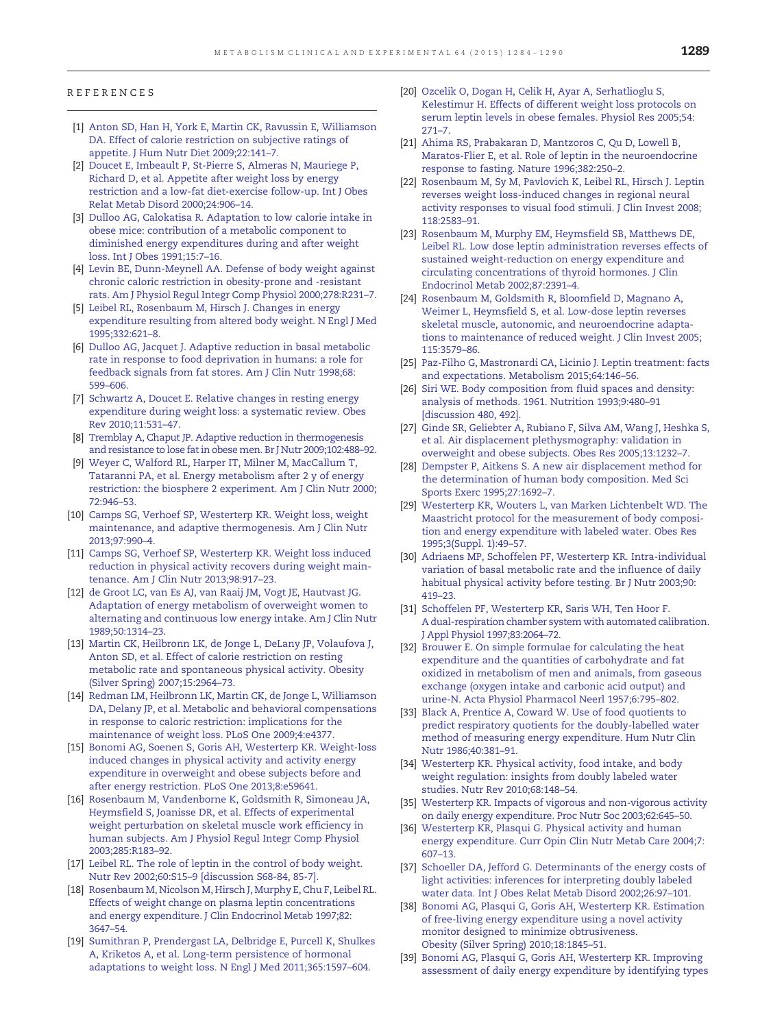#### <span id="page-6-0"></span>REFERENCES

- [1] [Anton SD, Han H, York E, Martin CK, Ravussin E, Williamson](http://refhub.elsevier.com/S0026-0495(15)00177-8/rf0005) [DA. Effect of calorie restriction on subjective ratings of](http://refhub.elsevier.com/S0026-0495(15)00177-8/rf0005) [appetite. J Hum Nutr Diet 2009;22:141](http://refhub.elsevier.com/S0026-0495(15)00177-8/rf0005)–7.
- [2] [Doucet E, Imbeault P, St-Pierre S, Almeras N, Mauriege P,](http://refhub.elsevier.com/S0026-0495(15)00177-8/rf0010) [Richard D, et al. Appetite after weight loss by energy](http://refhub.elsevier.com/S0026-0495(15)00177-8/rf0010) [restriction and a low-fat diet-exercise follow-up. Int J Obes](http://refhub.elsevier.com/S0026-0495(15)00177-8/rf0010) [Relat Metab Disord 2000;24:906](http://refhub.elsevier.com/S0026-0495(15)00177-8/rf0010)–14.
- [3] [Dulloo AG, Calokatisa R. Adaptation to low calorie intake in](http://refhub.elsevier.com/S0026-0495(15)00177-8/rf0015) [obese mice: contribution of a metabolic component to](http://refhub.elsevier.com/S0026-0495(15)00177-8/rf0015) [diminished energy expenditures during and after weight](http://refhub.elsevier.com/S0026-0495(15)00177-8/rf0015) [loss. Int J Obes 1991;15:7](http://refhub.elsevier.com/S0026-0495(15)00177-8/rf0015)–16.
- [4] [Levin BE, Dunn-Meynell AA. Defense of body weight against](http://refhub.elsevier.com/S0026-0495(15)00177-8/rf0020) [chronic caloric restriction in obesity-prone and -resistant](http://refhub.elsevier.com/S0026-0495(15)00177-8/rf0020) [rats. Am J Physiol Regul Integr Comp Physiol 2000;278:R231](http://refhub.elsevier.com/S0026-0495(15)00177-8/rf0020)–7.
- [5] [Leibel RL, Rosenbaum M, Hirsch J. Changes in energy](http://refhub.elsevier.com/S0026-0495(15)00177-8/rf0025) [expenditure resulting from altered body weight. N Engl J Med](http://refhub.elsevier.com/S0026-0495(15)00177-8/rf0025) [1995;332:621](http://refhub.elsevier.com/S0026-0495(15)00177-8/rf0025)–8.
- [6] [Dulloo AG, Jacquet J. Adaptive reduction in basal metabolic](http://refhub.elsevier.com/S0026-0495(15)00177-8/rf0030) [rate in response to food deprivation in humans: a role for](http://refhub.elsevier.com/S0026-0495(15)00177-8/rf0030) [feedback signals from fat stores. Am J Clin Nutr 1998;68:](http://refhub.elsevier.com/S0026-0495(15)00177-8/rf0030) 599–[606.](http://refhub.elsevier.com/S0026-0495(15)00177-8/rf0030)
- [7] [Schwartz A, Doucet E. Relative changes in resting energy](http://refhub.elsevier.com/S0026-0495(15)00177-8/rf0035) [expenditure during weight loss: a systematic review. Obes](http://refhub.elsevier.com/S0026-0495(15)00177-8/rf0035) [Rev 2010;11:531](http://refhub.elsevier.com/S0026-0495(15)00177-8/rf0035)–47.
- [8] [Tremblay A, Chaput JP. Adaptive reduction in thermogenesis](http://refhub.elsevier.com/S0026-0495(15)00177-8/rf0040) [and resistance to lose fat in obese men. Br J Nutr 2009;102:488](http://refhub.elsevier.com/S0026-0495(15)00177-8/rf0040)–92.
- [9] [Weyer C, Walford RL, Harper IT, Milner M, MacCallum T,](http://refhub.elsevier.com/S0026-0495(15)00177-8/rf0045) [Tataranni PA, et al. Energy metabolism after 2 y of energy](http://refhub.elsevier.com/S0026-0495(15)00177-8/rf0045) [restriction: the biosphere 2 experiment. Am J Clin Nutr 2000;](http://refhub.elsevier.com/S0026-0495(15)00177-8/rf0045) [72:946](http://refhub.elsevier.com/S0026-0495(15)00177-8/rf0045)–53.
- [10] [Camps SG, Verhoef SP, Westerterp KR. Weight loss, weight](http://refhub.elsevier.com/S0026-0495(15)00177-8/rf0050) [maintenance, and adaptive thermogenesis. Am J Clin Nutr](http://refhub.elsevier.com/S0026-0495(15)00177-8/rf0050) [2013;97:990](http://refhub.elsevier.com/S0026-0495(15)00177-8/rf0050)–4.
- [11] [Camps SG, Verhoef SP, Westerterp KR. Weight loss induced](http://refhub.elsevier.com/S0026-0495(15)00177-8/rf0215) [reduction in physical activity recovers during weight main](http://refhub.elsevier.com/S0026-0495(15)00177-8/rf0215)[tenance. Am J Clin Nutr 2013;98:917](http://refhub.elsevier.com/S0026-0495(15)00177-8/rf0215)–23.
- [12] [de Groot LC, van Es AJ, van Raaij JM, Vogt JE, Hautvast JG.](http://refhub.elsevier.com/S0026-0495(15)00177-8/rf0055) [Adaptation of energy metabolism of overweight women to](http://refhub.elsevier.com/S0026-0495(15)00177-8/rf0055) [alternating and continuous low energy intake. Am J Clin Nutr](http://refhub.elsevier.com/S0026-0495(15)00177-8/rf0055) [1989;50:1314](http://refhub.elsevier.com/S0026-0495(15)00177-8/rf0055)–23.
- [13] [Martin CK, Heilbronn LK, de Jonge L, DeLany JP, Volaufova J,](http://refhub.elsevier.com/S0026-0495(15)00177-8/rf0060) [Anton SD, et al. Effect of calorie restriction on resting](http://refhub.elsevier.com/S0026-0495(15)00177-8/rf0060) [metabolic rate and spontaneous physical activity. Obesity](http://refhub.elsevier.com/S0026-0495(15)00177-8/rf0060) [\(Silver Spring\) 2007;15:2964](http://refhub.elsevier.com/S0026-0495(15)00177-8/rf0060)–73.
- [14] [Redman LM, Heilbronn LK, Martin CK, de Jonge L, Williamson](http://refhub.elsevier.com/S0026-0495(15)00177-8/rf0065) [DA, Delany JP, et al. Metabolic and behavioral compensations](http://refhub.elsevier.com/S0026-0495(15)00177-8/rf0065) [in response to caloric restriction: implications for the](http://refhub.elsevier.com/S0026-0495(15)00177-8/rf0065) [maintenance of weight loss. PLoS One 2009;4:e4377.](http://refhub.elsevier.com/S0026-0495(15)00177-8/rf0065)
- [15] [Bonomi AG, Soenen S, Goris AH, Westerterp KR. Weight-loss](http://refhub.elsevier.com/S0026-0495(15)00177-8/rf0070) [induced changes in physical activity and activity energy](http://refhub.elsevier.com/S0026-0495(15)00177-8/rf0070) [expenditure in overweight and obese subjects before and](http://refhub.elsevier.com/S0026-0495(15)00177-8/rf0070) [after energy restriction. PLoS One 2013;8:e59641.](http://refhub.elsevier.com/S0026-0495(15)00177-8/rf0070)
- [16] [Rosenbaum M, Vandenborne K, Goldsmith R, Simoneau JA,](http://refhub.elsevier.com/S0026-0495(15)00177-8/rf0075) [Heymsfield S, Joanisse DR, et al. Effects of experimental](http://refhub.elsevier.com/S0026-0495(15)00177-8/rf0075) [weight perturbation on skeletal muscle work efficiency in](http://refhub.elsevier.com/S0026-0495(15)00177-8/rf0075) [human subjects. Am J Physiol Regul Integr Comp Physiol](http://refhub.elsevier.com/S0026-0495(15)00177-8/rf0075) [2003;285:R183](http://refhub.elsevier.com/S0026-0495(15)00177-8/rf0075)–92.
- [17] [Leibel RL. The role of leptin in the control of body weight.](http://refhub.elsevier.com/S0026-0495(15)00177-8/rf0220) Nutr Rev 2002;60:S15–[9 \[discussion S68-84, 85-7\].](http://refhub.elsevier.com/S0026-0495(15)00177-8/rf0220)
- [18] [Rosenbaum M, Nicolson M, Hirsch J, Murphy E, Chu F, Leibel RL.](http://refhub.elsevier.com/S0026-0495(15)00177-8/rf0080) [Effects of weight change on plasma leptin concentrations](http://refhub.elsevier.com/S0026-0495(15)00177-8/rf0080) [and energy expenditure. J Clin Endocrinol Metab 1997;82:](http://refhub.elsevier.com/S0026-0495(15)00177-8/rf0080) [3647](http://refhub.elsevier.com/S0026-0495(15)00177-8/rf0080)–54.
- [19] [Sumithran P, Prendergast LA, Delbridge E, Purcell K, Shulkes](http://refhub.elsevier.com/S0026-0495(15)00177-8/rf0085) [A, Kriketos A, et al. Long-term persistence of hormonal](http://refhub.elsevier.com/S0026-0495(15)00177-8/rf0085) [adaptations to weight loss. N Engl J Med 2011;365:1597](http://refhub.elsevier.com/S0026-0495(15)00177-8/rf0085)–604.
- [20] [Ozcelik O, Dogan H, Celik H, Ayar A, Serhatlioglu S,](http://refhub.elsevier.com/S0026-0495(15)00177-8/rf0090) [Kelestimur H. Effects of different weight loss protocols on](http://refhub.elsevier.com/S0026-0495(15)00177-8/rf0090) [serum leptin levels in obese females. Physiol Res 2005;54:](http://refhub.elsevier.com/S0026-0495(15)00177-8/rf0090) [271](http://refhub.elsevier.com/S0026-0495(15)00177-8/rf0090)–7.
- [21] [Ahima RS, Prabakaran D, Mantzoros C, Qu D, Lowell B,](http://refhub.elsevier.com/S0026-0495(15)00177-8/rf0095) [Maratos-Flier E, et al. Role of leptin in the neuroendocrine](http://refhub.elsevier.com/S0026-0495(15)00177-8/rf0095) [response to fasting. Nature 1996;382:250](http://refhub.elsevier.com/S0026-0495(15)00177-8/rf0095)–2.
- [22] [Rosenbaum M, Sy M, Pavlovich K, Leibel RL, Hirsch J. Leptin](http://refhub.elsevier.com/S0026-0495(15)00177-8/rf0100) [reverses weight loss-induced changes in regional neural](http://refhub.elsevier.com/S0026-0495(15)00177-8/rf0100) [activity responses to visual food stimuli. J Clin Invest 2008;](http://refhub.elsevier.com/S0026-0495(15)00177-8/rf0100) [118:2583](http://refhub.elsevier.com/S0026-0495(15)00177-8/rf0100)–91.
- [23] [Rosenbaum M, Murphy EM, Heymsfield SB, Matthews DE,](http://refhub.elsevier.com/S0026-0495(15)00177-8/rf0105) [Leibel RL. Low dose leptin administration reverses effects of](http://refhub.elsevier.com/S0026-0495(15)00177-8/rf0105) [sustained weight-reduction on energy expenditure and](http://refhub.elsevier.com/S0026-0495(15)00177-8/rf0105) [circulating concentrations of thyroid hormones. J Clin](http://refhub.elsevier.com/S0026-0495(15)00177-8/rf0105) [Endocrinol Metab 2002;87:2391](http://refhub.elsevier.com/S0026-0495(15)00177-8/rf0105)–4.
- [24] [Rosenbaum M, Goldsmith R, Bloomfield D, Magnano A,](http://refhub.elsevier.com/S0026-0495(15)00177-8/rf0110) [Weimer L, Heymsfield S, et al. Low-dose leptin reverses](http://refhub.elsevier.com/S0026-0495(15)00177-8/rf0110) [skeletal muscle, autonomic, and neuroendocrine adapta](http://refhub.elsevier.com/S0026-0495(15)00177-8/rf0110)[tions to maintenance of reduced weight. J Clin Invest 2005;](http://refhub.elsevier.com/S0026-0495(15)00177-8/rf0110) [115:3579](http://refhub.elsevier.com/S0026-0495(15)00177-8/rf0110)–86.
- [25] [Paz-Filho G, Mastronardi CA, Licinio J. Leptin treatment: facts](http://refhub.elsevier.com/S0026-0495(15)00177-8/rf0235) [and expectations. Metabolism 2015;64:146](http://refhub.elsevier.com/S0026-0495(15)00177-8/rf0235)–56.
- [26] [Siri WE. Body composition from fluid spaces and density:](http://refhub.elsevier.com/S0026-0495(15)00177-8/rf0230) [analysis of methods. 1961. Nutrition 1993;9:480](http://refhub.elsevier.com/S0026-0495(15)00177-8/rf0230)–91 [\[discussion 480, 492\].](http://refhub.elsevier.com/S0026-0495(15)00177-8/rf0230)
- [27] [Ginde SR, Geliebter A, Rubiano F, Silva AM, Wang J, Heshka S,](http://refhub.elsevier.com/S0026-0495(15)00177-8/rf0115) [et al. Air displacement plethysmography: validation in](http://refhub.elsevier.com/S0026-0495(15)00177-8/rf0115) [overweight and obese subjects. Obes Res 2005;13:1232](http://refhub.elsevier.com/S0026-0495(15)00177-8/rf0115)–7.
- [28] [Dempster P, Aitkens S. A new air displacement method for](http://refhub.elsevier.com/S0026-0495(15)00177-8/rf0120) [the determination of human body composition. Med Sci](http://refhub.elsevier.com/S0026-0495(15)00177-8/rf0120) [Sports Exerc 1995;27:1692](http://refhub.elsevier.com/S0026-0495(15)00177-8/rf0120)–7.
- [29] [Westerterp KR, Wouters L, van Marken Lichtenbelt WD. The](http://refhub.elsevier.com/S0026-0495(15)00177-8/rf0125) [Maastricht protocol for the measurement of body composi](http://refhub.elsevier.com/S0026-0495(15)00177-8/rf0125)[tion and energy expenditure with labeled water. Obes Res](http://refhub.elsevier.com/S0026-0495(15)00177-8/rf0125) [1995;3\(Suppl. 1\):49](http://refhub.elsevier.com/S0026-0495(15)00177-8/rf0125)–57.
- [30] [Adriaens MP, Schoffelen PF, Westerterp KR. Intra-individual](http://refhub.elsevier.com/S0026-0495(15)00177-8/rf0130) [variation of basal metabolic rate and the influence of daily](http://refhub.elsevier.com/S0026-0495(15)00177-8/rf0130) [habitual physical activity before testing. Br J Nutr 2003;90:](http://refhub.elsevier.com/S0026-0495(15)00177-8/rf0130) [419](http://refhub.elsevier.com/S0026-0495(15)00177-8/rf0130)–23.
- [31] [Schoffelen PF, Westerterp KR, Saris WH, Ten Hoor F.](http://refhub.elsevier.com/S0026-0495(15)00177-8/rf0135) [A dual-respiration chamber system with automated calibration.](http://refhub.elsevier.com/S0026-0495(15)00177-8/rf0135) [J Appl Physiol 1997;83:2064](http://refhub.elsevier.com/S0026-0495(15)00177-8/rf0135)–72.
- [32] [Brouwer E. On simple formulae for calculating the heat](http://refhub.elsevier.com/S0026-0495(15)00177-8/rf0140) [expenditure and the quantities of carbohydrate and fat](http://refhub.elsevier.com/S0026-0495(15)00177-8/rf0140) [oxidized in metabolism of men and animals, from gaseous](http://refhub.elsevier.com/S0026-0495(15)00177-8/rf0140) [exchange \(oxygen intake and carbonic acid output\) and](http://refhub.elsevier.com/S0026-0495(15)00177-8/rf0140) [urine-N. Acta Physiol Pharmacol Neerl 1957;6:795](http://refhub.elsevier.com/S0026-0495(15)00177-8/rf0140)–802.
- [33] [Black A, Prentice A, Coward W. Use of food quotients to](http://refhub.elsevier.com/S0026-0495(15)00177-8/rf0145) [predict respiratory quotients for the doubly-labelled water](http://refhub.elsevier.com/S0026-0495(15)00177-8/rf0145) [method of measuring energy expenditure. Hum Nutr Clin](http://refhub.elsevier.com/S0026-0495(15)00177-8/rf0145) [Nutr 1986;40:381](http://refhub.elsevier.com/S0026-0495(15)00177-8/rf0145)–91.
- [34] [Westerterp KR. Physical activity, food intake, and body](http://refhub.elsevier.com/S0026-0495(15)00177-8/rf0150) [weight regulation: insights from doubly labeled water](http://refhub.elsevier.com/S0026-0495(15)00177-8/rf0150) [studies. Nutr Rev 2010;68:148](http://refhub.elsevier.com/S0026-0495(15)00177-8/rf0150)–54.
- [35] [Westerterp KR. Impacts of vigorous and non-vigorous activity](http://refhub.elsevier.com/S0026-0495(15)00177-8/rf0155) [on daily energy expenditure. Proc Nutr Soc 2003;62:645](http://refhub.elsevier.com/S0026-0495(15)00177-8/rf0155)–50.
- [36] [Westerterp KR, Plasqui G. Physical activity and human](http://refhub.elsevier.com/S0026-0495(15)00177-8/rf0160) [energy expenditure. Curr Opin Clin Nutr Metab Care 2004;7:](http://refhub.elsevier.com/S0026-0495(15)00177-8/rf0160) [607](http://refhub.elsevier.com/S0026-0495(15)00177-8/rf0160)–13.
- [37] [Schoeller DA, Jefford G. Determinants of the energy costs of](http://refhub.elsevier.com/S0026-0495(15)00177-8/rf0165) [light activities: inferences for interpreting doubly labeled](http://refhub.elsevier.com/S0026-0495(15)00177-8/rf0165) [water data. Int J Obes Relat Metab Disord 2002;26:97](http://refhub.elsevier.com/S0026-0495(15)00177-8/rf0165)–101.
- [38] [Bonomi AG, Plasqui G, Goris AH, Westerterp KR. Estimation](http://refhub.elsevier.com/S0026-0495(15)00177-8/rf0240) [of free-living energy expenditure using a novel activity](http://refhub.elsevier.com/S0026-0495(15)00177-8/rf0240) [monitor designed to minimize obtrusiveness.](http://refhub.elsevier.com/S0026-0495(15)00177-8/rf0240) [Obesity \(Silver Spring\) 2010;18:1845](http://refhub.elsevier.com/S0026-0495(15)00177-8/rf0240)–51.
- [39] [Bonomi AG, Plasqui G, Goris AH, Westerterp KR. Improving](http://refhub.elsevier.com/S0026-0495(15)00177-8/rf0170) [assessment of daily energy expenditure by identifying types](http://refhub.elsevier.com/S0026-0495(15)00177-8/rf0170)